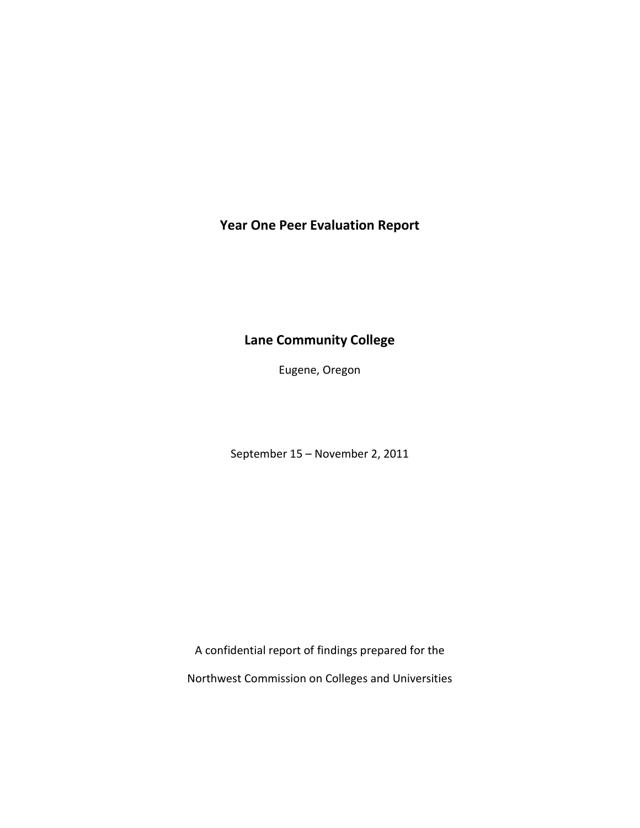**Year One Peer Evaluation Report**

# **Lane Community College**

Eugene, Oregon

September 15 – November 2, 2011

A confidential report of findings prepared for the

Northwest Commission on Colleges and Universities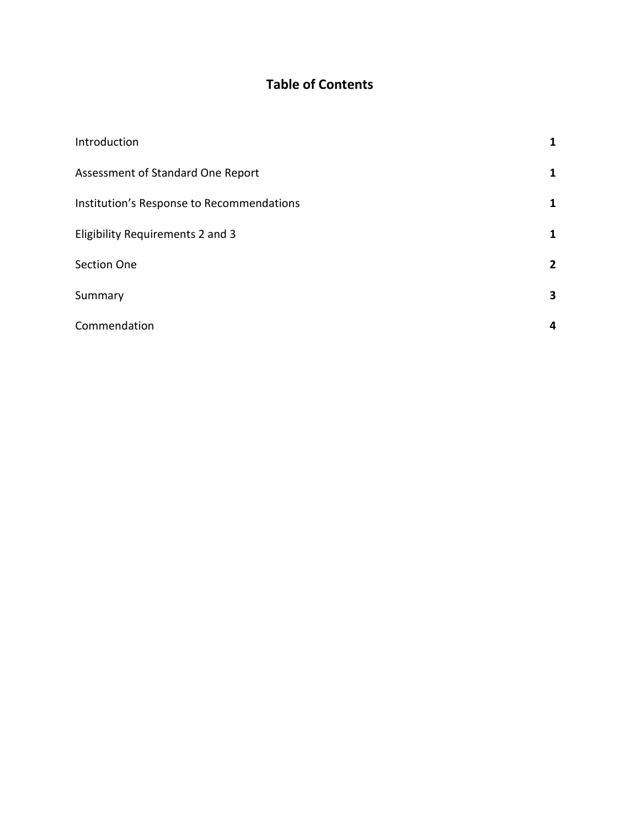# **Table of Contents**

| Introduction                              | 1            |
|-------------------------------------------|--------------|
| Assessment of Standard One Report         | 1            |
| Institution's Response to Recommendations | 1            |
| Eligibility Requirements 2 and 3          | 1            |
| <b>Section One</b>                        | $\mathbf{2}$ |
| Summary                                   | 3            |
| Commendation                              | 4            |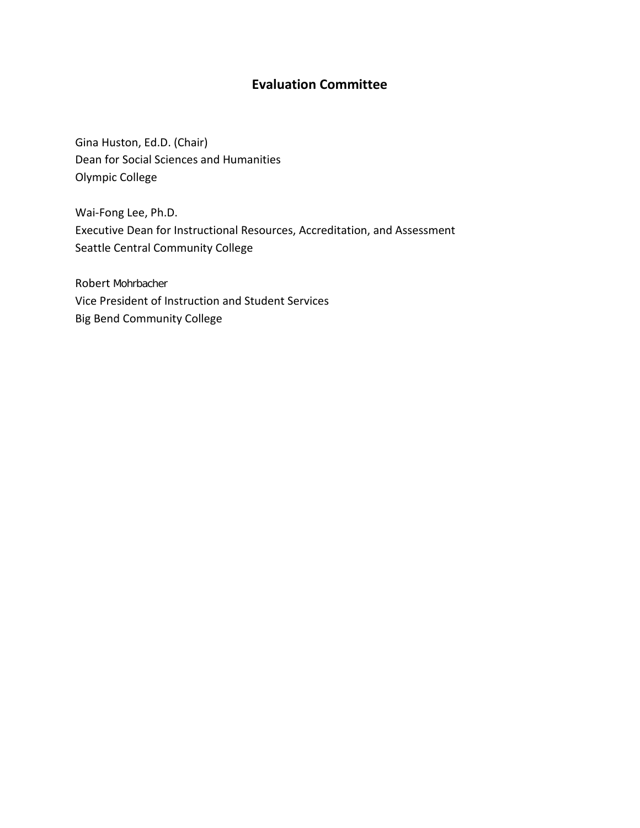## **Evaluation Committee**

Gina Huston, Ed.D. (Chair) Dean for Social Sciences and Humanities Olympic College

Wai-Fong Lee, Ph.D. Executive Dean for Instructional Resources, Accreditation, and Assessment Seattle Central Community College

Robert Mohrbacher Vice President of Instruction and Student Services Big Bend Community College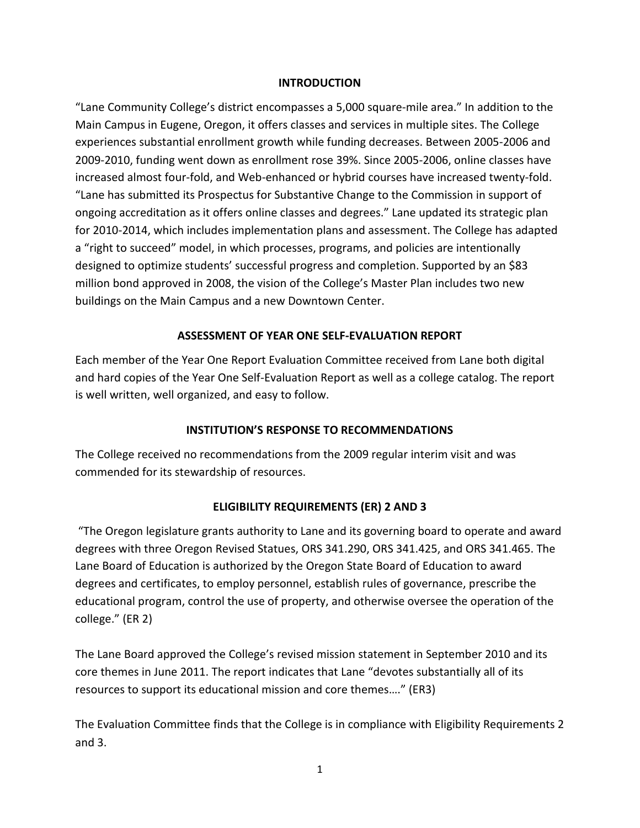#### **INTRODUCTION**

"Lane Community College's district encompasses a 5,000 square-mile area." In addition to the Main Campus in Eugene, Oregon, it offers classes and services in multiple sites. The College experiences substantial enrollment growth while funding decreases. Between 2005-2006 and 2009-2010, funding went down as enrollment rose 39%. Since 2005-2006, online classes have increased almost four-fold, and Web-enhanced or hybrid courses have increased twenty-fold. "Lane has submitted its Prospectus for Substantive Change to the Commission in support of ongoing accreditation as it offers online classes and degrees." Lane updated its strategic plan for 2010-2014, which includes implementation plans and assessment. The College has adapted a "right to succeed" model, in which processes, programs, and policies are intentionally designed to optimize students' successful progress and completion. Supported by an \$83 million bond approved in 2008, the vision of the College's Master Plan includes two new buildings on the Main Campus and a new Downtown Center.

## **ASSESSMENT OF YEAR ONE SELF-EVALUATION REPORT**

Each member of the Year One Report Evaluation Committee received from Lane both digital and hard copies of the Year One Self-Evaluation Report as well as a college catalog. The report is well written, well organized, and easy to follow.

## **INSTITUTION'S RESPONSE TO RECOMMENDATIONS**

The College received no recommendations from the 2009 regular interim visit and was commended for its stewardship of resources.

## **ELIGIBILITY REQUIREMENTS (ER) 2 AND 3**

"The Oregon legislature grants authority to Lane and its governing board to operate and award degrees with three Oregon Revised Statues, ORS 341.290, ORS 341.425, and ORS 341.465. The Lane Board of Education is authorized by the Oregon State Board of Education to award degrees and certificates, to employ personnel, establish rules of governance, prescribe the educational program, control the use of property, and otherwise oversee the operation of the college." (ER 2)

The Lane Board approved the College's revised mission statement in September 2010 and its core themes in June 2011. The report indicates that Lane "devotes substantially all of its resources to support its educational mission and core themes…." (ER3)

The Evaluation Committee finds that the College is in compliance with Eligibility Requirements 2 and 3.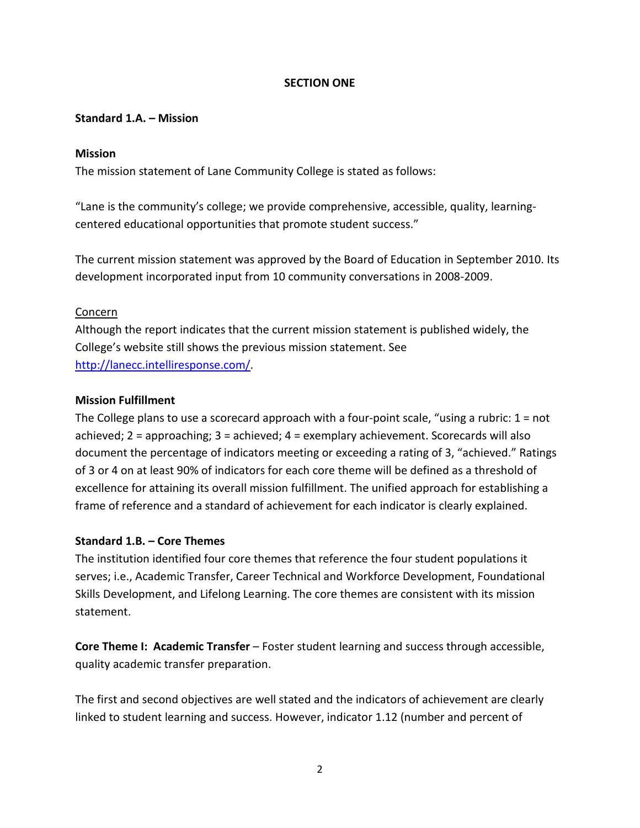#### **SECTION ONE**

#### **Standard 1.A. – Mission**

#### **Mission**

The mission statement of Lane Community College is stated as follows:

"Lane is the community's college; we provide comprehensive, accessible, quality, learningcentered educational opportunities that promote student success."

The current mission statement was approved by the Board of Education in September 2010. Its development incorporated input from 10 community conversations in 2008-2009.

#### Concern

Although the report indicates that the current mission statement is published widely, the College's website still shows the previous mission statement. See [http://lanecc.intelliresponse.com/.](http://lanecc.intelliresponse.com/)

#### **Mission Fulfillment**

The College plans to use a scorecard approach with a four-point scale, "using a rubric:  $1 = not$ achieved; 2 = approaching; 3 = achieved; 4 = exemplary achievement. Scorecards will also document the percentage of indicators meeting or exceeding a rating of 3, "achieved." Ratings of 3 or 4 on at least 90% of indicators for each core theme will be defined as a threshold of excellence for attaining its overall mission fulfillment. The unified approach for establishing a frame of reference and a standard of achievement for each indicator is clearly explained.

#### **Standard 1.B. – Core Themes**

The institution identified four core themes that reference the four student populations it serves; i.e., Academic Transfer, Career Technical and Workforce Development, Foundational Skills Development, and Lifelong Learning. The core themes are consistent with its mission statement.

**Core Theme I: Academic Transfer** – Foster student learning and success through accessible, quality academic transfer preparation.

The first and second objectives are well stated and the indicators of achievement are clearly linked to student learning and success. However, indicator 1.12 (number and percent of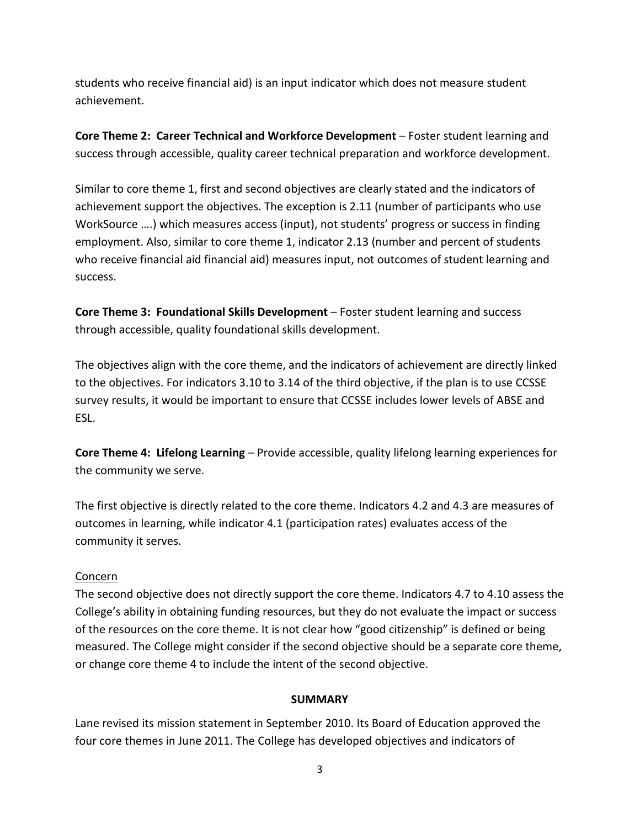students who receive financial aid) is an input indicator which does not measure student achievement.

**Core Theme 2: Career Technical and Workforce Development** – Foster student learning and success through accessible, quality career technical preparation and workforce development.

Similar to core theme 1, first and second objectives are clearly stated and the indicators of achievement support the objectives. The exception is 2.11 (number of participants who use WorkSource ….) which measures access (input), not students' progress or success in finding employment. Also, similar to core theme 1, indicator 2.13 (number and percent of students who receive financial aid financial aid) measures input, not outcomes of student learning and success.

**Core Theme 3: Foundational Skills Development** – Foster student learning and success through accessible, quality foundational skills development.

The objectives align with the core theme, and the indicators of achievement are directly linked to the objectives. For indicators 3.10 to 3.14 of the third objective, if the plan is to use CCSSE survey results, it would be important to ensure that CCSSE includes lower levels of ABSE and ESL.

**Core Theme 4: Lifelong Learning** – Provide accessible, quality lifelong learning experiences for the community we serve.

The first objective is directly related to the core theme. Indicators 4.2 and 4.3 are measures of outcomes in learning, while indicator 4.1 (participation rates) evaluates access of the community it serves.

#### Concern

The second objective does not directly support the core theme. Indicators 4.7 to 4.10 assess the College's ability in obtaining funding resources, but they do not evaluate the impact or success of the resources on the core theme. It is not clear how "good citizenship" is defined or being measured. The College might consider if the second objective should be a separate core theme, or change core theme 4 to include the intent of the second objective.

#### **SUMMARY**

Lane revised its mission statement in September 2010. Its Board of Education approved the four core themes in June 2011. The College has developed objectives and indicators of